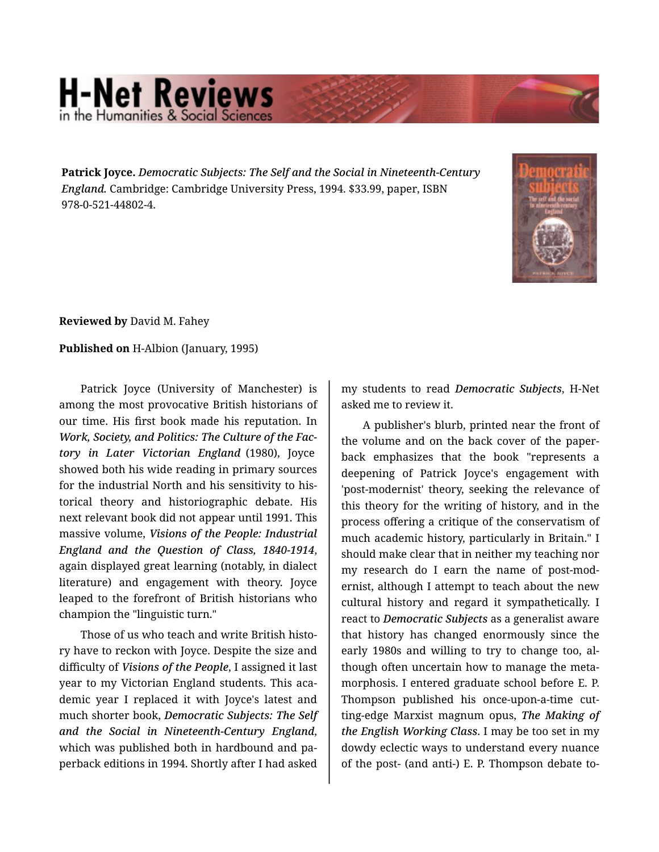## **H-Net Reviews** in the Humanities & Social Scie

**Patrick Joyce.** *Democratic Subjects: The Self and the Social in Nineteenth-Century England.* Cambridge: Cambridge University Press, 1994. \$33.99, paper, ISBN 978-0-521-44802-4.



**Reviewed by** David M. Fahey

**Published on** H-Albion (January, 1995)

Patrick Joyce (University of Manchester) is among the most provocative British historians of our time. His first book made his reputation. In *Work, Society, and Politics: The Culture of the Fac‐ tory in Later Victorian England* (1980), Joyce showed both his wide reading in primary sources for the industrial North and his sensitivity to his‐ torical theory and historiographic debate. His next relevant book did not appear until 1991. This massive volume, *Visions of the People: Industrial England and the Question of Class, 1840-1914*, again displayed great learning (notably, in dialect literature) and engagement with theory. Joyce leaped to the forefront of British historians who champion the "linguistic turn."

Those of us who teach and write British histo‐ ry have to reckon with Joyce. Despite the size and difficulty of *Visions of the People*, I assigned it last year to my Victorian England students. This aca‐ demic year I replaced it with Joyce's latest and much shorter book, *Democratic Subjects: The Self and the Social in Nineteenth-Century England*, which was published both in hardbound and pa‐ perback editions in 1994. Shortly after I had asked my students to read *Democratic Subjects*, H-Net asked me to review it.

A publisher's blurb, printed near the front of the volume and on the back cover of the paper‐ back emphasizes that the book "represents a deepening of Patrick Joyce's engagement with 'post-modernist' theory, seeking the relevance of this theory for the writing of history, and in the process offering a critique of the conservatism of much academic history, particularly in Britain." I should make clear that in neither my teaching nor my research do I earn the name of post-mod‐ ernist, although I attempt to teach about the new cultural history and regard it sympathetically. I react to *Democratic Subjects* as a generalist aware that history has changed enormously since the early 1980s and willing to try to change too, al‐ though often uncertain how to manage the meta‐ morphosis. I entered graduate school before E. P. Thompson published his once-upon-a-time cut‐ ting-edge Marxist magnum opus, *The Making of the English Working Class*. I may be too set in my dowdy eclectic ways to understand every nuance of the post- (and anti-) E. P. Thompson debate to‐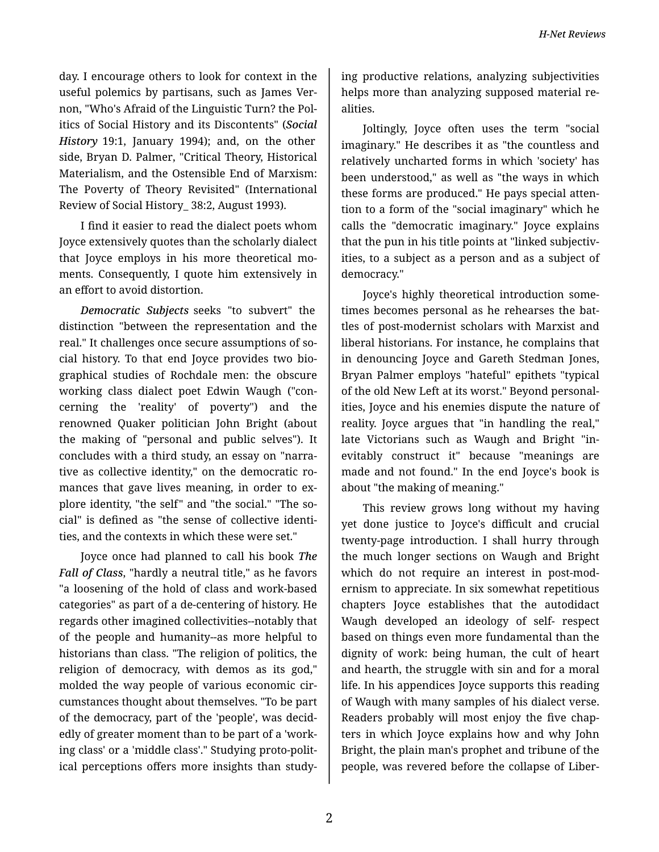day. I encourage others to look for context in the useful polemics by partisans, such as James Ver‐ non, "Who's Afraid of the Linguistic Turn? the Pol‐ itics of Social History and its Discontents" (*Social History* 19:1, January 1994); and, on the other side, Bryan D. Palmer, "Critical Theory, Historical Materialism, and the Ostensible End of Marxism: The Poverty of Theory Revisited" (International Review of Social History\_ 38:2, August 1993).

I find it easier to read the dialect poets whom Joyce extensively quotes than the scholarly dialect that Joyce employs in his more theoretical mo‐ ments. Consequently, I quote him extensively in an effort to avoid distortion.

*Democratic Subjects* seeks "to subvert" the distinction "between the representation and the real." It challenges once secure assumptions of so‐ cial history. To that end Joyce provides two bio‐ graphical studies of Rochdale men: the obscure working class dialect poet Edwin Waugh ("con‐ cerning the 'reality' of poverty") and the renowned Quaker politician John Bright (about the making of "personal and public selves"). It concludes with a third study, an essay on "narra‐ tive as collective identity," on the democratic ro‐ mances that gave lives meaning, in order to ex‐ plore identity, "the self" and "the social." "The so‐ cial" is defined as "the sense of collective identi‐ ties, and the contexts in which these were set."

Joyce once had planned to call his book *The Fall of Class*, "hardly a neutral title," as he favors "a loosening of the hold of class and work-based categories" as part of a de-centering of history. He regards other imagined collectivities--notably that of the people and humanity--as more helpful to historians than class. "The religion of politics, the religion of democracy, with demos as its god," molded the way people of various economic cir‐ cumstances thought about themselves. "To be part of the democracy, part of the 'people', was decid‐ edly of greater moment than to be part of a 'work‐ ing class' or a 'middle class'." Studying proto-polit‐ ical perceptions offers more insights than study‐

ing productive relations, analyzing subjectivities helps more than analyzing supposed material re‐ alities.

Joltingly, Joyce often uses the term "social imaginary." He describes it as "the countless and relatively uncharted forms in which 'society' has been understood," as well as "the ways in which these forms are produced." He pays special atten‐ tion to a form of the "social imaginary" which he calls the "democratic imaginary." Joyce explains that the pun in his title points at "linked subjectiv‐ ities, to a subject as a person and as a subject of democracy."

Joyce's highly theoretical introduction some‐ times becomes personal as he rehearses the bat‐ tles of post-modernist scholars with Marxist and liberal historians. For instance, he complains that in denouncing Joyce and Gareth Stedman Jones, Bryan Palmer employs "hateful" epithets "typical of the old New Left at its worst." Beyond personal‐ ities, Joyce and his enemies dispute the nature of reality. Joyce argues that "in handling the real," late Victorians such as Waugh and Bright "in‐ evitably construct it" because "meanings are made and not found." In the end Joyce's book is about "the making of meaning."

This review grows long without my having yet done justice to Joyce's difficult and crucial twenty-page introduction. I shall hurry through the much longer sections on Waugh and Bright which do not require an interest in post-modernism to appreciate. In six somewhat repetitious chapters Joyce establishes that the autodidact Waugh developed an ideology of self- respect based on things even more fundamental than the dignity of work: being human, the cult of heart and hearth, the struggle with sin and for a moral life. In his appendices Joyce supports this reading of Waugh with many samples of his dialect verse. Readers probably will most enjoy the five chap‐ ters in which Joyce explains how and why John Bright, the plain man's prophet and tribune of the people, was revered before the collapse of Liber‐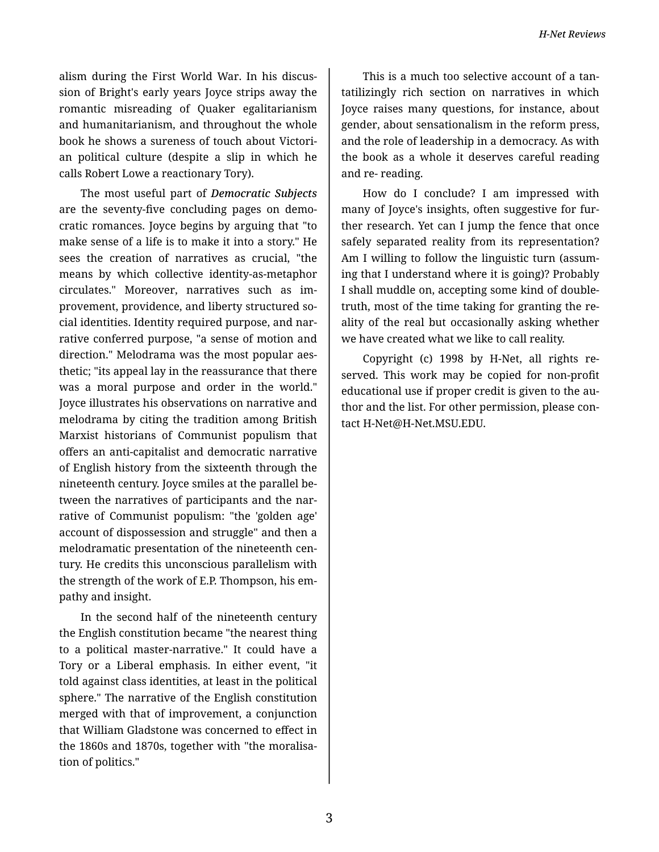alism during the First World War. In his discus‐ sion of Bright's early years Joyce strips away the romantic misreading of Quaker egalitarianism and humanitarianism, and throughout the whole book he shows a sureness of touch about Victori‐ an political culture (despite a slip in which he calls Robert Lowe a reactionary Tory).

The most useful part of *Democratic Subjects* are the seventy-five concluding pages on demo‐ cratic romances. Joyce begins by arguing that "to make sense of a life is to make it into a story." He sees the creation of narratives as crucial, "the means by which collective identity-as-metaphor circulates." Moreover, narratives such as im‐ provement, providence, and liberty structured so‐ cial identities. Identity required purpose, and nar‐ rative conferred purpose, "a sense of motion and direction." Melodrama was the most popular aes‐ thetic; "its appeal lay in the reassurance that there was a moral purpose and order in the world." Joyce illustrates his observations on narrative and melodrama by citing the tradition among British Marxist historians of Communist populism that offers an anti-capitalist and democratic narrative of English history from the sixteenth through the nineteenth century. Joyce smiles at the parallel be‐ tween the narratives of participants and the narrative of Communist populism: "the 'golden age' account of dispossession and struggle" and then a melodramatic presentation of the nineteenth cen‐ tury. He credits this unconscious parallelism with the strength of the work of E.P. Thompson, his em‐ pathy and insight.

In the second half of the nineteenth century the English constitution became "the nearest thing to a political master-narrative." It could have a Tory or a Liberal emphasis. In either event, "it told against class identities, at least in the political sphere." The narrative of the English constitution merged with that of improvement, a conjunction that William Gladstone was concerned to effect in the 1860s and 1870s, together with "the moralisa‐ tion of politics."

This is a much too selective account of a tan‐ tatilizingly rich section on narratives in which Joyce raises many questions, for instance, about gender, about sensationalism in the reform press, and the role of leadership in a democracy. As with the book as a whole it deserves careful reading and re- reading.

How do I conclude? I am impressed with many of Joyce's insights, often suggestive for fur‐ ther research. Yet can I jump the fence that once safely separated reality from its representation? Am I willing to follow the linguistic turn (assum‐ ing that I understand where it is going)? Probably I shall muddle on, accepting some kind of doubletruth, most of the time taking for granting the re‐ ality of the real but occasionally asking whether we have created what we like to call reality.

Copyright (c) 1998 by H-Net, all rights re‐ served. This work may be copied for non-profit educational use if proper credit is given to the au‐ thor and the list. For other permission, please con‐ tact H-Net@H-Net.MSU.EDU.